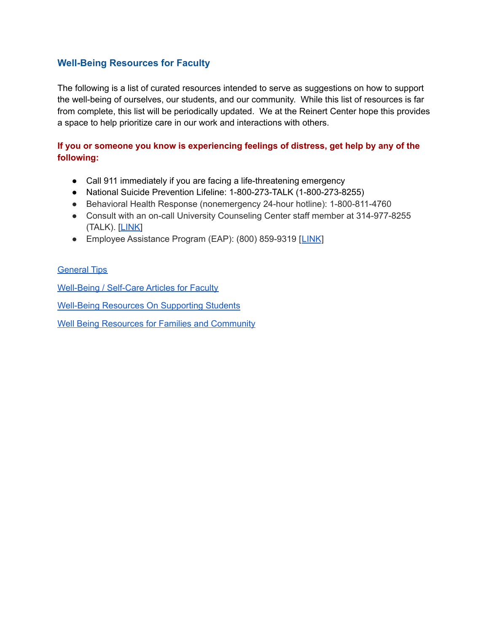### **Well-Being Resources for Faculty**

The following is a list of curated resources intended to serve as suggestions on how to support the well-being of ourselves, our students, and our community. While this list of resources is far from complete, this list will be periodically updated. We at the Reinert Center hope this provides a space to help prioritize care in our work and interactions with others.

### If you or someone you know is experiencing feelings of distress, get help by any of the following:

- Call 911 immediately if you are facing a life-threatening emergency
- National Suicide Prevention Lifeline: 1-800-273-TALK (1-800-273-8255)
- Behavioral Health Response (nonemergency 24-hour hotline): 1-800-811-4760
- Consult with an on-call University Counseling Center staff member at 314-977-8255 (TALK). [LINK]
- Employee Assistance Program (EAP): (800) 859-9319 [LINK]

#### **General Tips**

**Well-Being / Self-Care Articles for Faculty** 

**Well-Being Resources On Supporting Students** 

**Well Being Resources for Families and Community**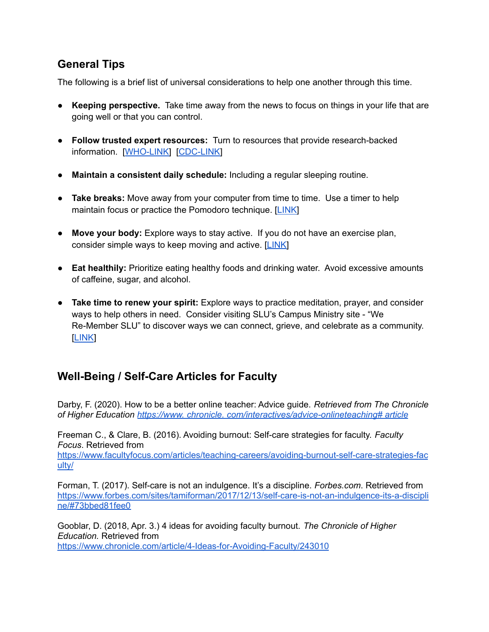## **General Tips**

The following is a brief list of universal considerations to help one another through this time.

- Keeping perspective. Take time away from the news to focus on things in your life that are going well or that you can control.
- Follow trusted expert resources: Turn to resources that provide research-backed information. [WHO-LINK] [CDC-LINK]
- Maintain a consistent daily schedule: Including a regular sleeping routine.
- Take breaks: Move away from your computer from time to time. Use a timer to help maintain focus or practice the Pomodoro technique. [LINK]
- Move your body: Explore ways to stay active. If you do not have an exercise plan, consider simple ways to keep moving and active. [LINK]
- Eat healthily: Prioritize eating healthy foods and drinking water. Avoid excessive amounts of caffeine, sugar, and alcohol.
- Take time to renew your spirit: Explore ways to practice meditation, prayer, and consider ways to help others in need. Consider visiting SLU's Campus Ministry site - "We Re-Member SLU" to discover ways we can connect, grieve, and celebrate as a community. **LINK**

# **Well-Being / Self-Care Articles for Faculty**

Darby, F. (2020). How to be a better online teacher: Advice quide. Retrieved from The Chronicle of Higher Education https://www.chronicle.com/interactives/advice-onlineteaching# article

Freeman C., & Clare, B. (2016). Avoiding burnout: Self-care strategies for faculty. Faculty Focus. Retrieved from

https://www.facultyfocus.com/articles/teaching-careers/avoiding-burnout-self-care-strategies-fac ulty/

Forman, T. (2017). Self-care is not an indulgence. It's a discipline. Forbes.com. Retrieved from https://www.forbes.com/sites/tamiforman/2017/12/13/self-care-is-not-an-indulgence-its-a-discipli ne/#73bbed81fee0

Gooblar, D. (2018, Apr. 3.) 4 ideas for avoiding faculty burnout. The Chronicle of Higher Education. Retrieved from https://www.chronicle.com/article/4-Ideas-for-Avoiding-Faculty/243010